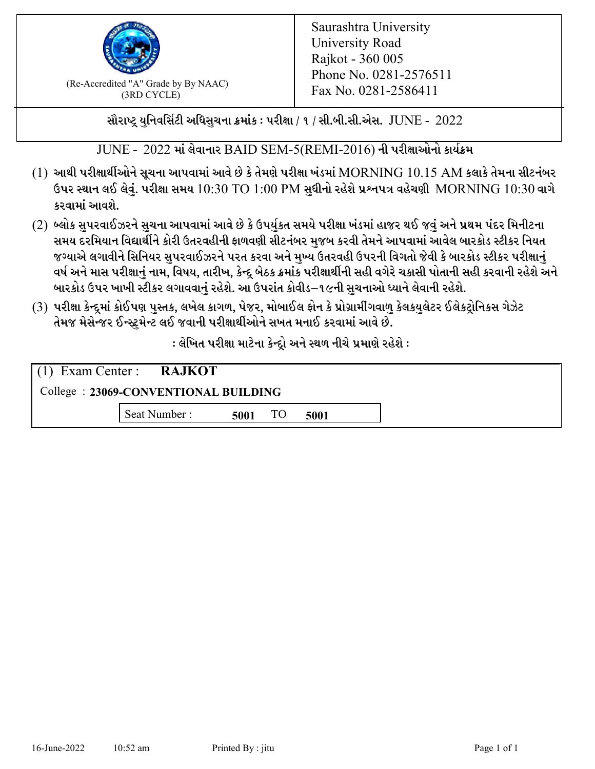

 $F_{\text{R}}$  (Re-Accredited "A" Grade by By NAAC)<br>(3PD CVCLE)<br> $F_{\text{R}}$  No. 0281-2586411 (3RD CYCLE)

સૌરાષ્ટ્ર યુનિવર્સિટી અધિસુચના ક્રમાંક : પરીક્ષા / ૧ / સી.બી.સી.એસ.  $\,$  JUNE -  $\,2022$ 

 $JUNE - 2022$  માં લેવાનાર  $BADD$  SEM-5(REMI-2016) ની પરીક્ષાઓનો કાર્યક્રમ

- $(1)$  આથી પરીક્ષાર્થીઓને સૂચના આપવામાં આવે છે કે તેમણે પરીક્ષા ખંડમાં  $\operatorname{MORNING}$   $10.15$   $\operatorname{AM}$  કલાકે તેમના સીટનંબર ઉપર સ્થાન લઈ લેવું. પરીક્ષા સમય  $10:30 \text{ TO } 1:00 \text{ PM}$  સુધીનો રહેશે પ્રશ્નપત્ર વહેચણી  $\text{MORNING } 10:30$  વાગે કરવામાં આવશે.
- (2) બ્લોક સુપરવાઈઝરને સુચના આપવામાં આવે છે કે ઉપર્યુકત સમયે પરીક્ષા ખંડમાં હાજર થઈ જવું અને પ્રથમ પંદર મિનીટના સમય દરમિયાન વિદ્યાર્થીને કોરી ઉતરવહીની ફાળવણી સીટનંબર મજબ કરવી તેમને આપવામાં આવેલ બારકોડ સ્ટીકર નિયત જગ્યાએ લગાવીને સિનિયર સુપરવાઈઝરને પરત કરવા અને મુખ્ય ઉતરવહી ઉપરની વિગતો જેવી કે બારકોડ સ્ટીકર પરીક્ષ<u>ાન</u>ં વર્ષ અને માસ પરીક્ષાનું નામ, વિષય, તારીખ, કેન્દ્ર બેઠક ક્રમાંક પરીક્ષાર્થીની સહી વગેરે ચકાસી પોતાની સહી કરવાની રહેશે અને બારકોડ ઉપર ખાખી સ્ટીકર લગાવવાનં રહેશે. આ ઉપરાંત કોવીડ–૧૯ની સચનાઓ ધ્યાને લેવાની રહેશે.
- (3) પરીક્ષા કેન્દ્રમાં કોઈપણ પુસ્તક, લખેલ કાગળ, પેજર, મોબાઈલ ફોન કે પ્રોગ્રામીંગવાળુ કેલકયુલેટર ઈલેકટ્રોનિકસ ગેઝેટ તેમજ મેસેન્જર ઈન્સ્ટમેન્ટ લઈ જવાની પરીક્ષાર્થીઓને સખત મનાઈ કરવામાં આવે છે.

: લેખિત પરીક્ષા માટેના કેન્દ્દો અને સ્થળ નીચે પ્રમાણે રહેશે :

|                                      | $(1)$ Exam Center : <b>RAJKOT</b> |      |    |      |  |  |
|--------------------------------------|-----------------------------------|------|----|------|--|--|
| College: 23069-CONVENTIONAL BUILDING |                                   |      |    |      |  |  |
|                                      | Seat Number:                      | 5001 | TO | 5001 |  |  |